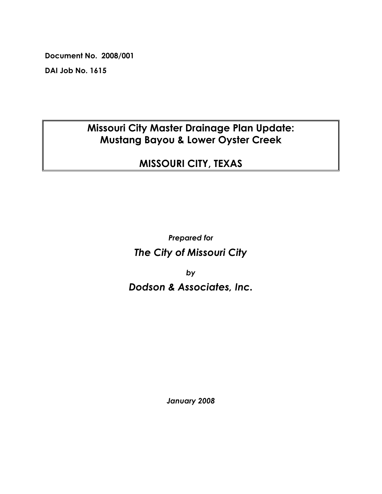**Document No. 2008/001** 

**DAI Job No. 1615** 

# **Missouri City Master Drainage Plan Update: Mustang Bayou & Lower Oyster Creek**

# **MISSOURI CITY, TEXAS**

**Prepared for** The City of Missouri City

by

# Dodson & Associates, Inc.

January 2008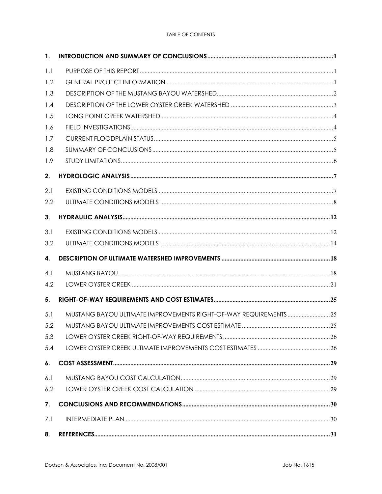#### **TABLE OF CONTENTS**

| 1.  |                                                                 |  |
|-----|-----------------------------------------------------------------|--|
| 1.1 |                                                                 |  |
| 1.2 |                                                                 |  |
| 1.3 |                                                                 |  |
| 1.4 |                                                                 |  |
| 1.5 |                                                                 |  |
| 1.6 |                                                                 |  |
| 1.7 |                                                                 |  |
| 1.8 |                                                                 |  |
| 1.9 |                                                                 |  |
| 2.  |                                                                 |  |
| 2.1 |                                                                 |  |
| 2.2 |                                                                 |  |
| 3.  |                                                                 |  |
| 3.1 |                                                                 |  |
| 3.2 |                                                                 |  |
| 4.  |                                                                 |  |
| 4.1 |                                                                 |  |
| 4.2 |                                                                 |  |
| 5.  |                                                                 |  |
| 5.1 | MUSTANG BAYOU ULTIMATE IMPROVEMENTS RIGHT-OF-WAY REQUIREMENTS25 |  |
| 5.2 |                                                                 |  |
| 5.3 |                                                                 |  |
| 5.4 |                                                                 |  |
| 6.  |                                                                 |  |
| 6.1 |                                                                 |  |
| 6.2 |                                                                 |  |
| 7.  |                                                                 |  |
| 7.1 |                                                                 |  |
| 8.  |                                                                 |  |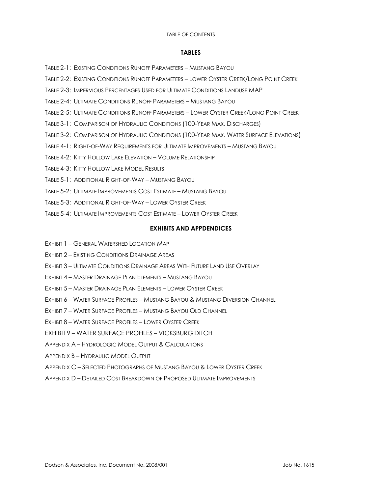#### **TABLE OF CONTENTS**

#### **TABLES**

- TABLE 2-1: EXISTING CONDITIONS RUNOFF PARAMETERS MUSTANG BAYOU
- TABLE 2-2: EXISTING CONDITIONS RUNOFF PARAMETERS LOWER OYSTER CREEK/LONG POINT CREEK
- TABLE 2-3: IMPERVIOUS PERCENTAGES USED FOR ULTIMATE CONDITIONS LANDUSE MAP
- TABLE 2-4: ULTIMATE CONDITIONS RUNOFF PARAMETERS MUSTANG BAYOU
- TABLE 2-5: ULTIMATE CONDITIONS RUNOFF PARAMETERS LOWER OYSTER CREEK/LONG POINT CREEK
- TABLE 3-1: COMPARISON OF HYDRAULIC CONDITIONS (100-YEAR MAX. DISCHARGES)
- TABLE 3-2: COMPARISON OF HYDRAULIC CONDITIONS (100-YEAR MAX, WATER SURFACE ELEVATIONS)
- TABLE 4-1: RIGHT-OF-WAY REQUIREMENTS FOR ULTIMATE IMPROVEMENTS MUSTANG BAYOU
- TABLE 4-2: KITTY HOLLOW LAKE ELEVATION VOLUME RELATIONSHIP
- TABLE 4-3: KITTY HOLLOW LAKE MODEL RESULTS
- TABLE 5-1<sup>+</sup> ADDITIONAL RIGHT-OF-WAY MUSTANG BAYOU
- TABLE 5-2: ULTIMATE IMPROVEMENTS COST ESTIMATE MUSTANG BAYOU
- TABLE 5-3: ADDITIONAL RIGHT-OF-WAY LOWER OYSTER CREEK
- TABLE 5-4: ULTIMATE IMPROVEMENTS COST ESTIMATE LOWER OYSTER CREEK

## **EXHIBITS AND APPDENDICES**

- EXHIBIT 1 GENERAL WATERSHED LOCATION MAP
- EXHIBIT 2 EXISTING CONDITIONS DRAINAGE AREAS
- **FXHIBIT 3 ULTIMATE CONDITIONS DRAINAGE AREAS WITH FUTURE LAND USE OVERLAY**
- EXHIBIT 4 MASTER DRAINAGE PLAN ELEMENTS MUSTANG BAYOU
- EXHIBIT 5 MASTER DRAINAGE PLAN ELEMENTS LOWER OYSTER CREEK
- EXHIBIT 6 WATER SURFACE PROFILES MUSTANG BAYOU & MUSTANG DIVERSION CHANNEL
- EXHIBIT 7 WATER SURFACE PROFILES MUSTANG BAYOU OLD CHANNEL
- EXHIBIT 8 WATER SURFACE PROFILES LOWER OYSTER CREEK
- EXHIBIT 9 WATER SURFACE PROFILES VICKSBURG DITCH
- APPENDIX A HYDROLOGIC MODEL OLITPLIT & CALCULATIONS
- **APPENDIX B HYDRAULIC MODEL OUTPUT**
- APPENDIX C SELECTED PHOTOGRAPHS OF MUSTANG BAYOU & LOWER OYSTER CREEK
- APPENDIX D DETAILED COST BREAKDOWN OF PROPOSED ULTIMATE IMPROVEMENTS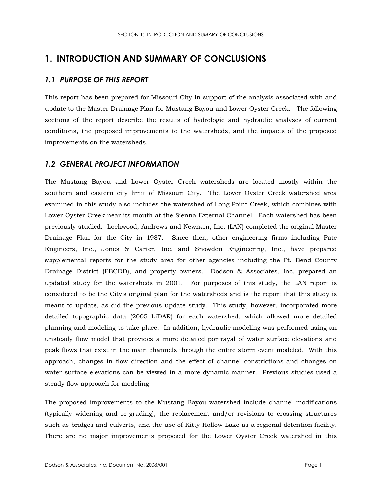## 1. INTRODUCTION AND SUMMARY OF CONCLUSIONS

## 1.1 PURPOSE OF THIS REPORT

This report has been prepared for Missouri City in support of the analysis associated with and update to the Master Drainage Plan for Mustang Bayou and Lower Oyster Creek. The following sections of the report describe the results of hydrologic and hydraulic analyses of current conditions, the proposed improvements to the watersheds, and the impacts of the proposed improvements on the watersheds.

## **1.2 GENERAL PROJECT INFORMATION**

The Mustang Bayou and Lower Oyster Creek watersheds are located mostly within the southern and eastern city limit of Missouri City. The Lower Oyster Creek watershed area examined in this study also includes the watershed of Long Point Creek, which combines with Lower Oyster Creek near its mouth at the Sienna External Channel. Each watershed has been previously studied. Lockwood, Andrews and Newnam, Inc. (LAN) completed the original Master Drainage Plan for the City in 1987. Since then, other engineering firms including Pate Engineers, Inc., Jones & Carter, Inc. and Snowden Engineering, Inc., have prepared supplemental reports for the study area for other agencies including the Ft. Bend County Drainage District (FBCDD), and property owners. Dodson & Associates, Inc. prepared an updated study for the watersheds in 2001. For purposes of this study, the LAN report is considered to be the City's original plan for the watersheds and is the report that this study is meant to update, as did the previous update study. This study, however, incorporated more detailed topographic data (2005 LiDAR) for each watershed, which allowed more detailed planning and modeling to take place. In addition, hydraulic modeling was performed using an unsteady flow model that provides a more detailed portrayal of water surface elevations and peak flows that exist in the main channels through the entire storm event modeled. With this approach, changes in flow direction and the effect of channel constrictions and changes on water surface elevations can be viewed in a more dynamic manner. Previous studies used a steady flow approach for modeling.

The proposed improvements to the Mustang Bayou watershed include channel modifications (typically widening and re-grading), the replacement and/or revisions to crossing structures such as bridges and culverts, and the use of Kitty Hollow Lake as a regional detention facility. There are no major improvements proposed for the Lower Oyster Creek watershed in this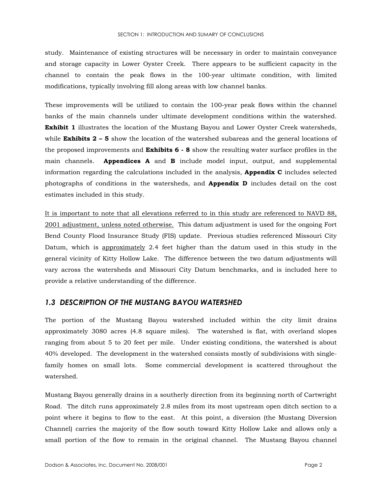study. Maintenance of existing structures will be necessary in order to maintain conveyance and storage capacity in Lower Oyster Creek. There appears to be sufficient capacity in the channel to contain the peak flows in the 100-year ultimate condition, with limited modifications, typically involving fill along areas with low channel banks.

These improvements will be utilized to contain the 100-year peak flows within the channel banks of the main channels under ultimate development conditions within the watershed. **Exhibit 1** illustrates the location of the Mustang Bayou and Lower Oyster Creek watersheds, while **Exhibits 2 – 5** show the location of the watershed subareas and the general locations of the proposed improvements and **Exhibits 6 - 8** show the resulting water surface profiles in the main channels. Appendices A and B include model input, output, and supplemental information regarding the calculations included in the analysis, **Appendix C** includes selected photographs of conditions in the watersheds, and **Appendix D** includes detail on the cost estimates included in this study.

It is important to note that all elevations referred to in this study are referenced to NAVD 88, 2001 adjustment, unless noted otherwise. This datum adjustment is used for the ongoing Fort Bend County Flood Insurance Study (FIS) update. Previous studies referenced Missouri City Datum, which is approximately 2.4 feet higher than the datum used in this study in the general vicinity of Kitty Hollow Lake. The difference between the two datum adjustments will vary across the watersheds and Missouri City Datum benchmarks, and is included here to provide a relative understanding of the difference.

### 1.3 DESCRIPTION OF THE MUSTANG BAYOU WATERSHED

The portion of the Mustang Bayou watershed included within the city limit drains approximately 3080 acres (4.8 square miles). The watershed is flat, with overland slopes ranging from about 5 to 20 feet per mile. Under existing conditions, the watershed is about 40% developed. The development in the watershed consists mostly of subdivisions with singlefamily homes on small lots. Some commercial development is scattered throughout the watershed.

Mustang Bayou generally drains in a southerly direction from its beginning north of Cartwright Road. The ditch runs approximately 2.8 miles from its most upstream open ditch section to a point where it begins to flow to the east. At this point, a diversion (the Mustang Diversion Channel) carries the majority of the flow south toward Kitty Hollow Lake and allows only a small portion of the flow to remain in the original channel. The Mustang Bayou channel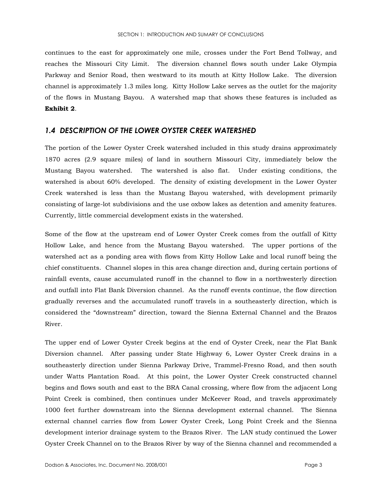continues to the east for approximately one mile, crosses under the Fort Bend Tollway, and reaches the Missouri City Limit. The diversion channel flows south under Lake Olympia Parkway and Senior Road, then westward to its mouth at Kitty Hollow Lake. The diversion channel is approximately 1.3 miles long. Kitty Hollow Lake serves as the outlet for the majority of the flows in Mustang Bayou. A watershed map that shows these features is included as Exhibit 2.

#### 1.4 DESCRIPTION OF THE LOWER OYSTER CREEK WATERSHED

The portion of the Lower Oyster Creek watershed included in this study drains approximately 1870 acres (2.9 square miles) of land in southern Missouri City, immediately below the Mustang Bayou watershed. The watershed is also flat. Under existing conditions, the watershed is about 60% developed. The density of existing development in the Lower Oyster Creek watershed is less than the Mustang Bayou watershed, with development primarily consisting of large-lot subdivisions and the use oxbow lakes as detention and amenity features. Currently, little commercial development exists in the watershed.

Some of the flow at the upstream end of Lower Oyster Creek comes from the outfall of Kitty Hollow Lake, and hence from the Mustang Bayou watershed. The upper portions of the watershed act as a ponding area with flows from Kitty Hollow Lake and local runoff being the chief constituents. Channel slopes in this area change direction and, during certain portions of rainfall events, cause accumulated runoff in the channel to flow in a northwesterly direction and outfall into Flat Bank Diversion channel. As the runoff events continue, the flow direction gradually reverses and the accumulated runoff travels in a southeasterly direction, which is considered the "downstream" direction, toward the Sienna External Channel and the Brazos River.

The upper end of Lower Oyster Creek begins at the end of Oyster Creek, near the Flat Bank Diversion channel. After passing under State Highway 6, Lower Oyster Creek drains in a southeasterly direction under Sienna Parkway Drive, Trammel-Fresno Road, and then south under Watts Plantation Road. At this point, the Lower Oyster Creek constructed channel begins and flows south and east to the BRA Canal crossing, where flow from the adjacent Long Point Creek is combined, then continues under McKeever Road, and travels approximately 1000 feet further downstream into the Sienna development external channel. The Sienna external channel carries flow from Lower Oyster Creek, Long Point Creek and the Sienna development interior drainage system to the Brazos River. The LAN study continued the Lower Oyster Creek Channel on to the Brazos River by way of the Sienna channel and recommended a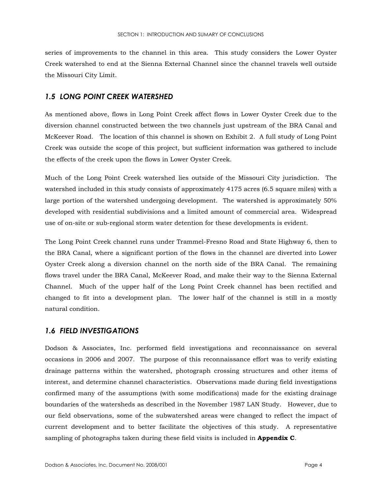series of improvements to the channel in this area. This study considers the Lower Oyster Creek watershed to end at the Sienna External Channel since the channel travels well outside the Missouri City Limit.

## **1.5 LONG POINT CREEK WATERSHED**

As mentioned above, flows in Long Point Creek affect flows in Lower Oyster Creek due to the diversion channel constructed between the two channels just upstream of the BRA Canal and McKeever Road. The location of this channel is shown on Exhibit 2. A full study of Long Point Creek was outside the scope of this project, but sufficient information was gathered to include the effects of the creek upon the flows in Lower Oyster Creek.

Much of the Long Point Creek watershed lies outside of the Missouri City jurisdiction. The watershed included in this study consists of approximately 4175 acres (6.5 square miles) with a large portion of the watershed undergoing development. The watershed is approximately 50% developed with residential subdivisions and a limited amount of commercial area. Widespread use of on-site or sub-regional storm water detention for these developments is evident.

The Long Point Creek channel runs under Trammel-Fresno Road and State Highway 6, then to the BRA Canal, where a significant portion of the flows in the channel are diverted into Lower Oyster Creek along a diversion channel on the north side of the BRA Canal. The remaining flows travel under the BRA Canal, McKeever Road, and make their way to the Sienna External Channel. Much of the upper half of the Long Point Creek channel has been rectified and changed to fit into a development plan. The lower half of the channel is still in a mostly natural condition.

### **1.6 FIELD INVESTIGATIONS**

Dodson & Associates, Inc. performed field investigations and reconnaissance on several occasions in 2006 and 2007. The purpose of this reconnaissance effort was to verify existing drainage patterns within the watershed, photograph crossing structures and other items of interest, and determine channel characteristics. Observations made during field investigations confirmed many of the assumptions (with some modifications) made for the existing drainage boundaries of the watersheds as described in the November 1987 LAN Study. However, due to our field observations, some of the subwatershed areas were changed to reflect the impact of current development and to better facilitate the objectives of this study. A representative sampling of photographs taken during these field visits is included in **Appendix C**.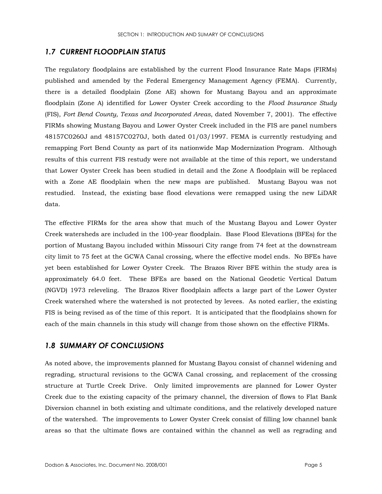## **1.7 CURRENT FLOODPLAIN STATUS**

The regulatory floodplains are established by the current Flood Insurance Rate Maps (FIRMs) published and amended by the Federal Emergency Management Agency (FEMA). Currently, there is a detailed floodplain (Zone AE) shown for Mustang Bayou and an approximate floodplain (Zone A) identified for Lower Oyster Creek according to the Flood Insurance Study (FIS), Fort Bend County, Texas and Incorporated Areas, dated November 7, 2001). The effective FIRMs showing Mustang Bayou and Lower Oyster Creek included in the FIS are panel numbers 48157C0260J and 48157C0270J, both dated 01/03/1997. FEMA is currently restudying and remapping Fort Bend County as part of its nationwide Map Modernization Program. Although results of this current FIS restudy were not available at the time of this report, we understand that Lower Oyster Creek has been studied in detail and the Zone A floodplain will be replaced with a Zone AE floodplain when the new maps are published. Mustang Bayou was not restudied. Instead, the existing base flood elevations were remapped using the new LiDAR data.

The effective FIRMs for the area show that much of the Mustang Bayou and Lower Oyster Creek watersheds are included in the 100-year floodplain. Base Flood Elevations (BFEs) for the portion of Mustang Bayou included within Missouri City range from 74 feet at the downstream city limit to 75 feet at the GCWA Canal crossing, where the effective model ends. No BFEs have yet been established for Lower Oyster Creek. The Brazos River BFE within the study area is approximately 64.0 feet. These BFEs are based on the National Geodetic Vertical Datum (NGVD) 1973 releveling. The Brazos River floodplain affects a large part of the Lower Oyster Creek watershed where the watershed is not protected by levees. As noted earlier, the existing FIS is being revised as of the time of this report. It is anticipated that the floodplains shown for each of the main channels in this study will change from those shown on the effective FIRMs.

### **1.8 SUMMARY OF CONCLUSIONS**

As noted above, the improvements planned for Mustang Bayou consist of channel widening and regrading, structural revisions to the GCWA Canal crossing, and replacement of the crossing structure at Turtle Creek Drive. Only limited improvements are planned for Lower Oyster Creek due to the existing capacity of the primary channel, the diversion of flows to Flat Bank Diversion channel in both existing and ultimate conditions, and the relatively developed nature of the watershed. The improvements to Lower Oyster Creek consist of filling low channel bank areas so that the ultimate flows are contained within the channel as well as regrading and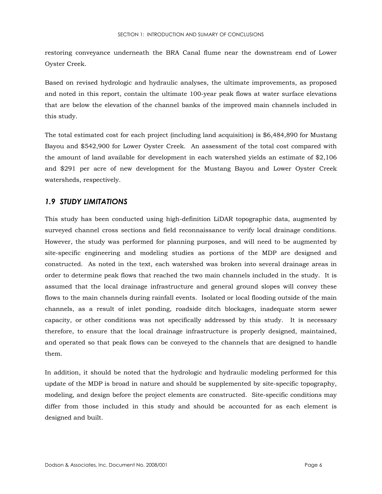restoring conveyance underneath the BRA Canal flume near the downstream end of Lower Oyster Creek.

Based on revised hydrologic and hydraulic analyses, the ultimate improvements, as proposed and noted in this report, contain the ultimate 100-year peak flows at water surface elevations that are below the elevation of the channel banks of the improved main channels included in this study.

The total estimated cost for each project (including land acquisition) is \$6,484,890 for Mustang Bayou and \$542,900 for Lower Oyster Creek. An assessment of the total cost compared with the amount of land available for development in each watershed yields an estimate of  $$2,106$ and \$291 per acre of new development for the Mustang Bayou and Lower Oyster Creek watersheds, respectively.

## **1.9 STUDY LIMITATIONS**

This study has been conducted using high-definition LiDAR topographic data, augmented by surveyed channel cross sections and field reconnaissance to verify local drainage conditions. However, the study was performed for planning purposes, and will need to be augmented by site-specific engineering and modeling studies as portions of the MDP are designed and constructed. As noted in the text, each watershed was broken into several drainage areas in order to determine peak flows that reached the two main channels included in the study. It is assumed that the local drainage infrastructure and general ground slopes will convey these flows to the main channels during rainfall events. Isolated or local flooding outside of the main channels, as a result of inlet ponding, roadside ditch blockages, inadequate storm sewer capacity, or other conditions was not specifically addressed by this study. It is necessary therefore, to ensure that the local drainage infrastructure is properly designed, maintained, and operated so that peak flows can be conveyed to the channels that are designed to handle them.

In addition, it should be noted that the hydrologic and hydraulic modeling performed for this update of the MDP is broad in nature and should be supplemented by site-specific topography, modeling, and design before the project elements are constructed. Site-specific conditions may differ from those included in this study and should be accounted for as each element is designed and built.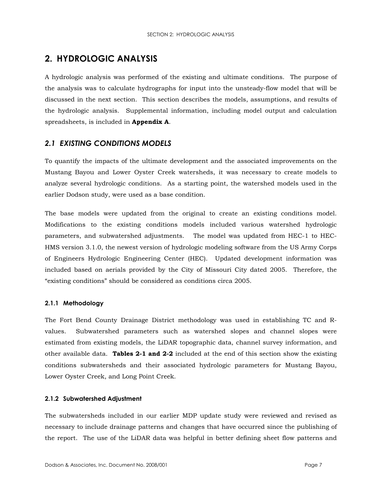## 2. HYDROLOGIC ANALYSIS

A hydrologic analysis was performed of the existing and ultimate conditions. The purpose of the analysis was to calculate hydrographs for input into the unsteady-flow model that will be discussed in the next section. This section describes the models, assumptions, and results of the hydrologic analysis. Supplemental information, including model output and calculation spreadsheets, is included in Appendix A.

## **2.1 EXISTING CONDITIONS MODELS**

To quantify the impacts of the ultimate development and the associated improvements on the Mustang Bayou and Lower Oyster Creek watersheds, it was necessary to create models to analyze several hydrologic conditions. As a starting point, the watershed models used in the earlier Dodson study, were used as a base condition.

The base models were updated from the original to create an existing conditions model. Modifications to the existing conditions models included various watershed hydrologic parameters, and subwatershed adjustments. The model was updated from HEC-1 to HEC-HMS version 3.1.0, the newest version of hydrologic modeling software from the US Army Corps of Engineers Hydrologic Engineering Center (HEC). Updated development information was included based on aerials provided by the City of Missouri City dated 2005. Therefore, the "existing conditions" should be considered as conditions circa 2005.

#### 2.1.1 Methodology

The Fort Bend County Drainage District methodology was used in establishing TC and Rvalues. Subwatershed parameters such as watershed slopes and channel slopes were estimated from existing models, the LiDAR topographic data, channel survey information, and other available data. Tables 2-1 and 2-2 included at the end of this section show the existing conditions subwatersheds and their associated hydrologic parameters for Mustang Bayou, Lower Oyster Creek, and Long Point Creek.

#### 2.1.2 Subwatershed Adjustment

The subwatersheds included in our earlier MDP update study were reviewed and revised as necessary to include drainage patterns and changes that have occurred since the publishing of the report. The use of the LiDAR data was helpful in better defining sheet flow patterns and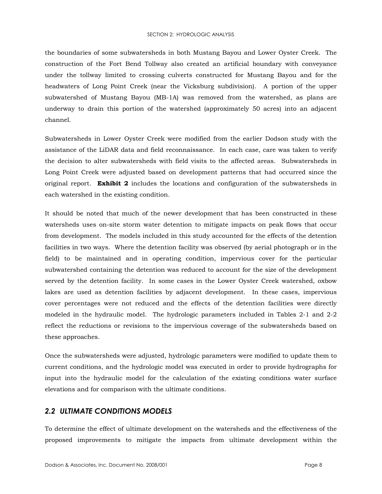#### SECTION 2: HYDROLOGIC ANALYSIS

the boundaries of some subwatersheds in both Mustang Bayou and Lower Oyster Creek. The construction of the Fort Bend Tollway also created an artificial boundary with conveyance under the tollway limited to crossing culverts constructed for Mustang Bayou and for the headwaters of Long Point Creek (near the Vicksburg subdivision). A portion of the upper subwatershed of Mustang Bayou (MB-1A) was removed from the watershed, as plans are underway to drain this portion of the watershed (approximately 50 acres) into an adjacent channel.

Subwatersheds in Lower Oyster Creek were modified from the earlier Dodson study with the assistance of the LiDAR data and field reconnaissance. In each case, care was taken to verify the decision to alter subwatersheds with field visits to the affected areas. Subwatersheds in Long Point Creek were adjusted based on development patterns that had occurred since the original report. **Exhibit 2** includes the locations and configuration of the subwatersheds in each watershed in the existing condition.

It should be noted that much of the newer development that has been constructed in these watersheds uses on-site storm water detention to mitigate impacts on peak flows that occur from development. The models included in this study accounted for the effects of the detention facilities in two ways. Where the detention facility was observed (by aerial photograph or in the field) to be maintained and in operating condition, impervious cover for the particular subwatershed containing the detention was reduced to account for the size of the development served by the detention facility. In some cases in the Lower Oyster Creek watershed, oxbow lakes are used as detention facilities by adjacent development. In these cases, impervious cover percentages were not reduced and the effects of the detention facilities were directly modeled in the hydraulic model. The hydrologic parameters included in Tables 2-1 and 2-2 reflect the reductions or revisions to the impervious coverage of the subwatersheds based on these approaches.

Once the subwatersheds were adjusted, hydrologic parameters were modified to update them to current conditions, and the hydrologic model was executed in order to provide hydrographs for input into the hydraulic model for the calculation of the existing conditions water surface elevations and for comparison with the ultimate conditions.

## **2.2 ULTIMATE CONDITIONS MODELS**

To determine the effect of ultimate development on the watersheds and the effectiveness of the proposed improvements to mitigate the impacts from ultimate development within the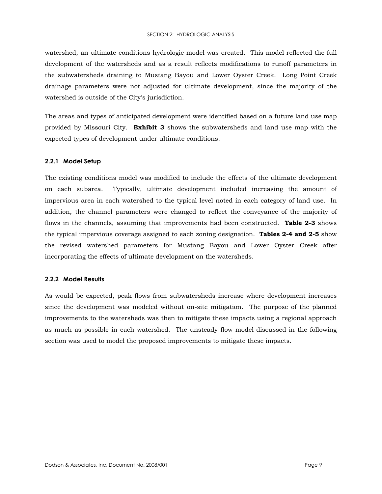#### SECTION 2: HYDROLOGIC ANALYSIS

watershed, an ultimate conditions hydrologic model was created. This model reflected the full development of the watersheds and as a result reflects modifications to runoff parameters in the subwatersheds draining to Mustang Bayou and Lower Oyster Creek. Long Point Creek drainage parameters were not adjusted for ultimate development, since the majority of the watershed is outside of the City's jurisdiction.

The areas and types of anticipated development were identified based on a future land use map provided by Missouri City. **Exhibit 3** shows the subwatersheds and land use map with the expected types of development under ultimate conditions.

#### 2.2.1 Model Setup

The existing conditions model was modified to include the effects of the ultimate development on each subarea. Typically, ultimate development included increasing the amount of impervious area in each watershed to the typical level noted in each category of land use. In addition, the channel parameters were changed to reflect the conveyance of the majority of flows in the channels, assuming that improvements had been constructed. Table 2-3 shows the typical impervious coverage assigned to each zoning designation. **Tables 2-4 and 2-5** show the revised watershed parameters for Mustang Bayou and Lower Oyster Creek after incorporating the effects of ultimate development on the watersheds.

#### 2.2.2 Model Results

As would be expected, peak flows from subwatersheds increase where development increases since the development was modeled without on-site mitigation. The purpose of the planned improvements to the watersheds was then to mitigate these impacts using a regional approach as much as possible in each watershed. The unsteady flow model discussed in the following section was used to model the proposed improvements to mitigate these impacts.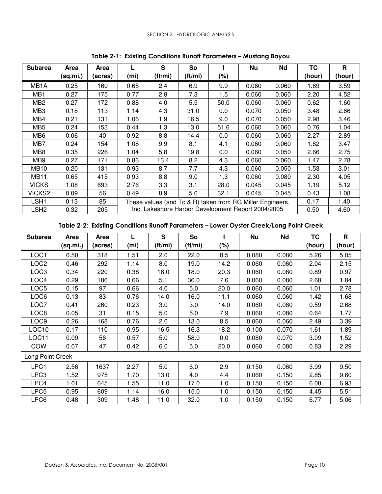| <b>Subarea</b>    | Area     | Area    |      | S                                                                                                                       | So      |      | Nu    | Nd    | <b>TC</b> | R      |
|-------------------|----------|---------|------|-------------------------------------------------------------------------------------------------------------------------|---------|------|-------|-------|-----------|--------|
|                   | (sq.mi.) | (acres) | (mi) | $(\text{ft/mi})$                                                                                                        | (ft/mi) | (%)  |       |       | (hour)    | (hour) |
| MB <sub>1</sub> A | 0.25     | 160     | 0.65 | 2.4                                                                                                                     | 6.9     | 9.9  | 0.060 | 0.060 | 1.69      | 3.59   |
| MB <sub>1</sub>   | 0.27     | 175     | 0.77 | 2.8                                                                                                                     | 7.3     | 1.5  | 0.060 | 0.060 | 2.20      | 4.52   |
| MB <sub>2</sub>   | 0.27     | 172     | 0.88 | 4.0                                                                                                                     | 5.5     | 50.0 | 0.060 | 0.060 | 0.62      | 1.60   |
| MB <sub>3</sub>   | 0.18     | 113     | 1.14 | 4.3                                                                                                                     | 31.0    | 0.0  | 0.070 | 0.050 | 3.48      | 2.66   |
| MB4               | 0.21     | 131     | 1.06 | 1.9                                                                                                                     | 16.5    | 9.0  | 0.070 | 0.050 | 2.98      | 3.46   |
| MB <sub>5</sub>   | 0.24     | 153     | 0.44 | 1.3                                                                                                                     | 13.0    | 51.6 | 0.060 | 0.060 | 0.76      | 1.04   |
| MB <sub>6</sub>   | 0.06     | 40      | 0.92 | 8.8                                                                                                                     | 14.4    | 0.0  | 0.060 | 0.060 | 2.27      | 2.89   |
| MB7               | 0.24     | 154     | 1.08 | 9.9                                                                                                                     | 8.1     | 4.1  | 0.060 | 0.060 | 1.82      | 3.47   |
| MB8               | 0.35     | 226     | 1.04 | 5.8                                                                                                                     | 19.8    | 0.0  | 0.060 | 0.050 | 2.66      | 2.75   |
| MB9               | 0.27     | 171     | 0.86 | 13.4                                                                                                                    | 8.2     | 4.3  | 0.060 | 0.060 | 1.47      | 2.78   |
| <b>MB10</b>       | 0.20     | 131     | 0.93 | 8.7                                                                                                                     | 7.7     | 4.3  | 0.060 | 0.050 | 1.53      | 3.01   |
| <b>MB11</b>       | 0.65     | 415     | 0.93 | 8.8                                                                                                                     | 9.0     | 1.3  | 0.060 | 0.080 | 2.30      | 4.05   |
| <b>VICKS</b>      | 1.08     | 693     | 2.76 | 3.3                                                                                                                     | 3.1     | 28.0 | 0.045 | 0.045 | 1.19      | 5.12   |
| VICKS2            | 0.09     | 56      | 0.49 | 8.9                                                                                                                     | 5.6     | 32.1 | 0.045 | 0.045 | 0.43      | 1.08   |
| LSH1              | 0.13     | 85      |      |                                                                                                                         |         |      |       |       | 0.17      | 1.40   |
| LSH2              | 0.32     | 205     |      | These values (and Tc & R) taken from RG Miller Engineers,<br>Inc. Lakeshore Harbor Development Report 2004/2005<br>0.50 |         |      |       |       |           |        |

Table 2-1: Existing Conditions Runoff Parameters – Mustang Bayou

Table 2-2: Existing Conditions Runoff Parameters – Lower Oyster Creek/Long Point Creek

| <b>Subarea</b>    | Area     | Area    |      | S       | So      |      | <b>Nu</b> | Nd    | TC     | R      |
|-------------------|----------|---------|------|---------|---------|------|-----------|-------|--------|--------|
|                   | (sq.mi.) | (acres) | (mi) | (ft/mi) | (ft/mi) | (%)  |           |       | (hour) | (hour) |
| LOC1              | 0.50     | 318     | 1.51 | 2.0     | 22.0    | 8.5  | 0.080     | 0.080 | 5.26   | 5.05   |
| LOC2              | 0.46     | 292     | 1.14 | 8.0     | 19.0    | 14.2 | 0.060     | 0.060 | 2.04   | 2.15   |
| LOC3              | 0.34     | 220     | 0.38 | 18.0    | 18.0    | 20.3 | 0.060     | 0.080 | 0.89   | 0.97   |
| LOC4              | 0.29     | 186     | 0.66 | 5.1     | 36.0    | 7.6  | 0.060     | 0.080 | 2.68   | 1.84   |
| LOC5              | 0.15     | 97      | 0.66 | 4.0     | 5.0     | 20.0 | 0.060     | 0.060 | 1.01   | 2.78   |
| LOC6              | 0.13     | 83      | 0.76 | 14.0    | 16.0    | 11.1 | 0.060     | 0.060 | 1.42   | 1.68   |
| LOC7              | 0.41     | 260     | 0.23 | 3.0     | 3.0     | 14.0 | 0.060     | 0.080 | 0.59   | 2.68   |
| LOC8              | 0.05     | 31      | 0.15 | 5.0     | 5.0     | 7.9  | 0.060     | 0.080 | 0.64   | 1.77   |
| LOC9              | 0.26     | 168     | 0.76 | 2.0     | 13.0    | 8.5  | 0.060     | 0.060 | 2.49   | 3.39   |
| LOC <sub>10</sub> | 0.17     | 110     | 0.95 | 16.5    | 16.3    | 18.2 | 0.100     | 0.070 | 1.61   | 1.89   |
| LOC11             | 0.09     | 56      | 0.57 | 5.0     | 58.0    | 0.0  | 0.080     | 0.070 | 3.09   | 1.52   |
| <b>COW</b>        | 0.07     | 47      | 0.42 | 6.0     | 5.0     | 20.0 | 0.060     | 0.080 | 0.83   | 2.29   |
| Long Point Creek  |          |         |      |         |         |      |           |       |        |        |
| LPC1              | 2.56     | 1637    | 2.27 | 5.0     | 6.0     | 2.9  | 0.150     | 0.060 | 3.99   | 9.50   |
| LPC3              | 1.52     | 975     | 1.70 | 13.0    | 4.0     | 4.4  | 0.060     | 0.150 | 2.85   | 9.60   |
| LPC4              | 1.01     | 645     | 1.55 | 11.0    | 17.0    | 1.0  | 0.150     | 0.150 | 6.08   | 6.93   |
| LPC5              | 0.95     | 609     | 1.14 | 16.0    | 15.0    | 1.0  | 0.150     | 0.150 | 4.45   | 5.51   |
| LPC6              | 0.48     | 309     | 1.48 | 11.0    | 32.0    | 1.0  | 0.150     | 0.150 | 6.77   | 5.06   |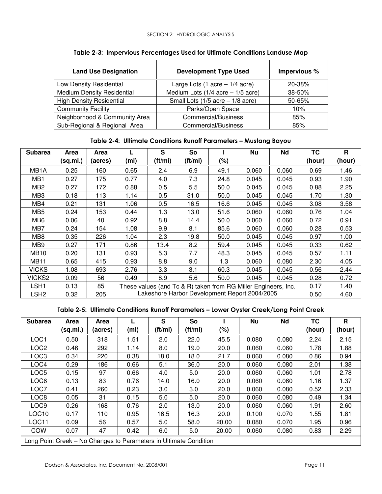| <b>Land Use Designation</b>       | <b>Development Type Used</b>                     | Impervious % |
|-----------------------------------|--------------------------------------------------|--------------|
| Low Density Residential           | Large Lots $(1 \text{ acre} - 1/4 \text{ acre})$ | 20-38%       |
| <b>Medium Density Residential</b> | Medium Lots $(1/4$ acre $-1/5$ acre)             | 38-50%       |
| <b>High Density Residential</b>   | Small Lots $(1/5$ acre $-1/8$ acre)              | 50-65%       |
| <b>Community Facility</b>         | Parks/Open Space                                 | 10%          |
| Neighborhood & Community Area     | Commercial/Business                              | 85%          |
| Sub-Regional & Regional Area      | Commercial/Business                              | 85%          |

Table 2-3: Impervious Percentages Used for Ultimate Conditions Landuse Map

## Table 2-4: Ultimate Conditions Runoff Parameters – Mustang Bayou

| <b>Subarea</b>    | <b>Area</b> | Area    |      | S                                                                      | So                                            |      | Nu    | Nd    | <b>TC</b> | R      |
|-------------------|-------------|---------|------|------------------------------------------------------------------------|-----------------------------------------------|------|-------|-------|-----------|--------|
|                   | (sq.mi.)    | (acres) | (mi) | (ft/mi)                                                                | $(\text{ft/mi})$                              | (%)  |       |       | (hour)    | (hour) |
| MB <sub>1</sub> A | 0.25        | 160     | 0.65 | 2.4                                                                    | 6.9                                           | 49.1 | 0.060 | 0.060 | 0.69      | 1.46   |
| MB <sub>1</sub>   | 0.27        | 175     | 0.77 | 4.0                                                                    | 7.3                                           | 24.8 | 0.045 | 0.045 | 0.93      | 1.90   |
| MB <sub>2</sub>   | 0.27        | 172     | 0.88 | 0.5                                                                    | 5.5                                           | 50.0 | 0.045 | 0.045 | 0.88      | 2.25   |
| MB <sub>3</sub>   | 0.18        | 113     | 1.14 | 0.5                                                                    | 31.0                                          | 50.0 | 0.045 | 0.045 | 1.70      | 1.30   |
| MB4               | 0.21        | 131     | 1.06 | 0.5                                                                    | 16.5                                          | 16.6 | 0.045 | 0.045 | 3.08      | 3.58   |
| MB <sub>5</sub>   | 0.24        | 153     | 0.44 | 1.3                                                                    | 13.0                                          | 51.6 | 0.060 | 0.060 | 0.76      | 1.04   |
| MB <sub>6</sub>   | 0.06        | 40      | 0.92 | 8.8                                                                    | 14.4                                          | 50.0 | 0.060 | 0.060 | 0.72      | 0.91   |
| MB7               | 0.24        | 154     | 1.08 | 9.9                                                                    | 8.1                                           | 85.6 | 0.060 | 0.060 | 0.28      | 0.53   |
| MB <sub>8</sub>   | 0.35        | 226     | 1.04 | 2.3                                                                    | 19.8                                          | 50.0 | 0.045 | 0.045 | 0.97      | 1.00   |
| MB <sub>9</sub>   | 0.27        | 171     | 0.86 | 13.4                                                                   | 8.2                                           | 59.4 | 0.045 | 0.045 | 0.33      | 0.62   |
| MB10              | 0.20        | 131     | 0.93 | 5.3                                                                    | 7.7                                           | 48.3 | 0.045 | 0.045 | 0.57      | 1.11   |
| <b>MB11</b>       | 0.65        | 415     | 0.93 | 8.8                                                                    | 9.0                                           | 1.3  | 0.060 | 0.080 | 2.30      | 4.05   |
| <b>VICKS</b>      | 1.08        | 693     | 2.76 | 3.3                                                                    | 3.1                                           | 60.3 | 0.045 | 0.045 | 0.56      | 2.44   |
| VICKS2            | 0.09        | 56      | 0.49 | 8.9                                                                    | 5.6                                           | 50.0 | 0.045 | 0.045 | 0.28      | 0.72   |
| LSH1              | 0.13        | 85      |      | 0.17<br>These values (and Tc & R) taken from RG Miller Engineers, Inc. |                                               |      |       |       |           |        |
| LSH2              | 0.32        | 205     |      |                                                                        | Lakeshore Harbor Development Report 2004/2005 |      |       |       | 0.50      | 4.60   |

Table 2-5: Ultimate Conditions Runoff Parameters – Lower Oyster Creek/Long Point Creek

| <b>Subarea</b>                                                    | <b>Area</b> | Area    |                   | S       | So      |       | Nu    | Nd    | <b>TC</b> | R      |
|-------------------------------------------------------------------|-------------|---------|-------------------|---------|---------|-------|-------|-------|-----------|--------|
|                                                                   | (sq.mi.)    | (acres) | (m <sub>i</sub> ) | (ft/mi) | (ft/mi) | (%)   |       |       | (hour)    | (hour) |
| LOC1                                                              | 0.50        | 318     | 1.51              | 2.0     | 22.0    | 45.5  | 0.080 | 0.080 | 2.24      | 2.15   |
| LOC <sub>2</sub>                                                  | 0.46        | 292     | 1.14              | 8.0     | 19.0    | 20.0  | 0.060 | 0.060 | 1.78      | 1.88   |
| LOC <sub>3</sub>                                                  | 0.34        | 220     | 0.38              | 18.0    | 18.0    | 21.7  | 0.060 | 0.080 | 0.86      | 0.94   |
| LOC4                                                              | 0.29        | 186     | 0.66              | 5.1     | 36.0    | 20.0  | 0.060 | 0.080 | 2.01      | 1.38   |
| LOC5                                                              | 0.15        | 97      | 0.66              | 4.0     | 5.0     | 20.0  | 0.060 | 0.060 | 1.01      | 2.78   |
| LOC6                                                              | 0.13        | 83      | 0.76              | 14.0    | 16.0    | 20.0  | 0.060 | 0.060 | 1.16      | 1.37   |
| LOC7                                                              | 0.41        | 260     | 0.23              | 3.0     | 3.0     | 20.0  | 0.060 | 0.080 | 0.52      | 2.33   |
| LOC8                                                              | 0.05        | 31      | 0.15              | 5.0     | 5.0     | 20.0  | 0.060 | 0.080 | 0.49      | 1.34   |
| LOC <sub>9</sub>                                                  | 0.26        | 168     | 0.76              | 2.0     | 13.0    | 20.0  | 0.060 | 0.060 | 1.91      | 2.60   |
| LOC10                                                             | 0.17        | 110     | 0.95              | 16.5    | 16.3    | 20.0  | 0.100 | 0.070 | 1.55      | 1.81   |
| LOC11                                                             | 0.09        | 56      | 0.57              | 5.0     | 58.0    | 20.00 | 0.080 | 0.070 | 1.95      | 0.96   |
| <b>COW</b>                                                        | 0.07        | 47      | 0.42              | 6.0     | 5.0     | 20.00 | 0.060 | 0.080 | 0.83      | 2.29   |
| Long Point Creek - No Changes to Parameters in Ultimate Condition |             |         |                   |         |         |       |       |       |           |        |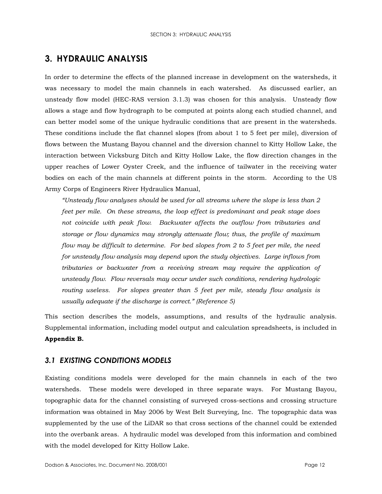## **3. HYDRAULIC ANALYSIS**

In order to determine the effects of the planned increase in development on the watersheds, it was necessary to model the main channels in each watershed. As discussed earlier, an unsteady flow model (HEC-RAS version 3.1.3) was chosen for this analysis. Unsteady flow allows a stage and flow hydrograph to be computed at points along each studied channel, and can better model some of the unique hydraulic conditions that are present in the watersheds. These conditions include the flat channel slopes (from about 1 to 5 feet per mile), diversion of flows between the Mustang Bayou channel and the diversion channel to Kitty Hollow Lake, the interaction between Vicksburg Ditch and Kitty Hollow Lake, the flow direction changes in the upper reaches of Lower Oyster Creek, and the influence of tailwater in the receiving water bodies on each of the main channels at different points in the storm. According to the US Army Corps of Engineers River Hydraulics Manual,

"Unsteady flow analyses should be used for all streams where the slope is less than 2 feet per mile. On these streams, the loop effect is predominant and peak stage does not coincide with peak flow. Backwater affects the outflow from tributaries and storage or flow dynamics may strongly attenuate flow; thus, the profile of maximum flow may be difficult to determine. For bed slopes from 2 to 5 feet per mile, the need for unsteady flow analysis may depend upon the study objectives. Large inflows from tributaries or backwater from a receiving stream may require the application of unsteady flow. Flow reversals may occur under such conditions, rendering hydrologic routing useless. For slopes greater than 5 feet per mile, steady flow analysis is usually adequate if the discharge is correct." (Reference 5)

This section describes the models, assumptions, and results of the hydraulic analysis. Supplemental information, including model output and calculation spreadsheets, is included in Appendix B.

## **3.1 EXISTING CONDITIONS MODELS**

Existing conditions models were developed for the main channels in each of the two watersheds. These models were developed in three separate ways. For Mustang Bayou, topographic data for the channel consisting of surveyed cross-sections and crossing structure information was obtained in May 2006 by West Belt Surveying, Inc. The topographic data was supplemented by the use of the LiDAR so that cross sections of the channel could be extended into the overbank areas. A hydraulic model was developed from this information and combined with the model developed for Kitty Hollow Lake.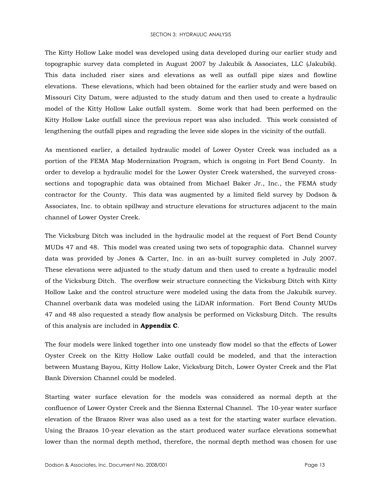#### SECTION 3: HYDRAULIC ANALYSIS

The Kitty Hollow Lake model was developed using data developed during our earlier study and topographic survey data completed in August 2007 by Jakubik & Associates, LLC (Jakubik). This data included riser sizes and elevations as well as outfall pipe sizes and flowline elevations. These elevations, which had been obtained for the earlier study and were based on Missouri City Datum, were adjusted to the study datum and then used to create a hydraulic model of the Kitty Hollow Lake outfall system. Some work that had been performed on the Kitty Hollow Lake outfall since the previous report was also included. This work consisted of lengthening the outfall pipes and regrading the levee side slopes in the vicinity of the outfall.

As mentioned earlier, a detailed hydraulic model of Lower Oyster Creek was included as a portion of the FEMA Map Modernization Program, which is ongoing in Fort Bend County. In order to develop a hydraulic model for the Lower Oyster Creek watershed, the surveyed crosssections and topographic data was obtained from Michael Baker Jr., Inc., the FEMA study contractor for the County. This data was augmented by a limited field survey by Dodson & Associates, Inc. to obtain spillway and structure elevations for structures adjacent to the main channel of Lower Oyster Creek.

The Vicksburg Ditch was included in the hydraulic model at the request of Fort Bend County MUDs 47 and 48. This model was created using two sets of topographic data. Channel survey data was provided by Jones & Carter, Inc. in an as-built survey completed in July 2007. These elevations were adjusted to the study datum and then used to create a hydraulic model of the Vicksburg Ditch. The overflow weir structure connecting the Vicksburg Ditch with Kitty Hollow Lake and the control structure were modeled using the data from the Jakubik survey. Channel overbank data was modeled using the LiDAR information. Fort Bend County MUDs 47 and 48 also requested a steady flow analysis be performed on Vicksburg Ditch. The results of this analysis are included in Appendix C.

The four models were linked together into one unsteady flow model so that the effects of Lower Oyster Creek on the Kitty Hollow Lake outfall could be modeled, and that the interaction between Mustang Bayou, Kitty Hollow Lake, Vicksburg Ditch, Lower Oyster Creek and the Flat Bank Diversion Channel could be modeled.

Starting water surface elevation for the models was considered as normal depth at the confluence of Lower Oyster Creek and the Sienna External Channel. The 10-year water surface elevation of the Brazos River was also used as a test for the starting water surface elevation. Using the Brazos 10-year elevation as the start produced water surface elevations somewhat lower than the normal depth method, therefore, the normal depth method was chosen for use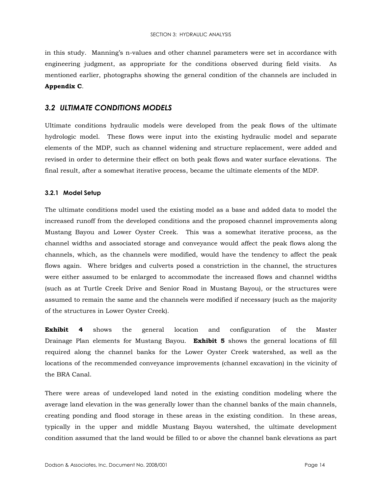in this study. Manning's n-values and other channel parameters were set in accordance with engineering judgment, as appropriate for the conditions observed during field visits. As mentioned earlier, photographs showing the general condition of the channels are included in Appendix C.

## **3.2 ULTIMATE CONDITIONS MODELS**

Ultimate conditions hydraulic models were developed from the peak flows of the ultimate hydrologic model. These flows were input into the existing hydraulic model and separate elements of the MDP, such as channel widening and structure replacement, were added and revised in order to determine their effect on both peak flows and water surface elevations. The final result, after a somewhat iterative process, became the ultimate elements of the MDP.

#### 3.2.1 Model Setup

The ultimate conditions model used the existing model as a base and added data to model the increased runoff from the developed conditions and the proposed channel improvements along Mustang Bayou and Lower Oyster Creek. This was a somewhat iterative process, as the channel widths and associated storage and conveyance would affect the peak flows along the channels, which, as the channels were modified, would have the tendency to affect the peak flows again. Where bridges and culverts posed a constriction in the channel, the structures were either assumed to be enlarged to accommodate the increased flows and channel widths (such as at Turtle Creek Drive and Senior Road in Mustang Bayou), or the structures were assumed to remain the same and the channels were modified if necessary (such as the majority of the structures in Lower Oyster Creek).

Exhibit  $\boldsymbol{4}$ shows the general location and configuration of the Master Drainage Plan elements for Mustang Bayou. **Exhibit 5** shows the general locations of fill required along the channel banks for the Lower Oyster Creek watershed, as well as the locations of the recommended conveyance improvements (channel excavation) in the vicinity of the BRA Canal.

There were areas of undeveloped land noted in the existing condition modeling where the average land elevation in the was generally lower than the channel banks of the main channels, creating ponding and flood storage in these areas in the existing condition. In these areas, typically in the upper and middle Mustang Bayou watershed, the ultimate development condition assumed that the land would be filled to or above the channel bank elevations as part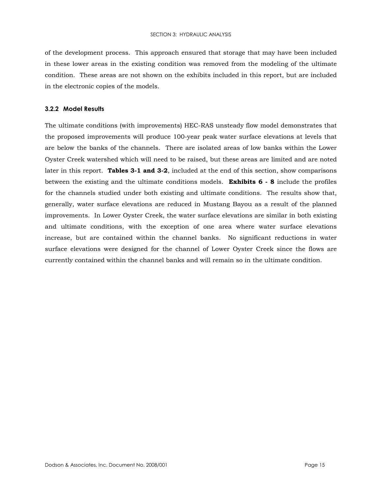of the development process. This approach ensured that storage that may have been included in these lower areas in the existing condition was removed from the modeling of the ultimate condition. These areas are not shown on the exhibits included in this report, but are included in the electronic copies of the models.

#### 3.2.2 Model Results

The ultimate conditions (with improvements) HEC-RAS unsteady flow model demonstrates that the proposed improvements will produce 100-year peak water surface elevations at levels that are below the banks of the channels. There are isolated areas of low banks within the Lower Oyster Creek watershed which will need to be raised, but these areas are limited and are noted later in this report. Tables 3-1 and 3-2, included at the end of this section, show comparisons between the existing and the ultimate conditions models. **Exhibits**  $6 - 8$  include the profiles for the channels studied under both existing and ultimate conditions. The results show that, generally, water surface elevations are reduced in Mustang Bayou as a result of the planned improvements. In Lower Oyster Creek, the water surface elevations are similar in both existing and ultimate conditions, with the exception of one area where water surface elevations increase, but are contained within the channel banks. No significant reductions in water surface elevations were designed for the channel of Lower Oyster Creek since the flows are currently contained within the channel banks and will remain so in the ultimate condition.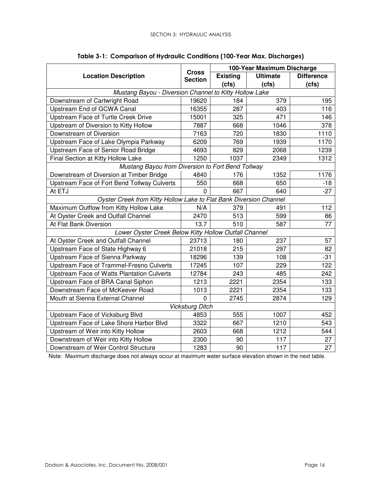|                                                                    |                                | 100-Year Maximum Discharge |                 |                   |  |  |  |
|--------------------------------------------------------------------|--------------------------------|----------------------------|-----------------|-------------------|--|--|--|
| <b>Location Description</b>                                        | <b>Cross</b><br><b>Section</b> | <b>Existing</b>            | <b>Ultimate</b> | <b>Difference</b> |  |  |  |
|                                                                    |                                | (cts)                      | (cts)           | (cts)             |  |  |  |
| Mustang Bayou - Diversion Channel to Kitty Hollow Lake             |                                |                            |                 |                   |  |  |  |
| Downstream of Cartwright Road                                      | 19620                          | 184                        | 379             | 195               |  |  |  |
| Upstream End of GCWA Canal                                         | 16355                          | 287                        | 403             | 116               |  |  |  |
| Upstream Face of Turtle Creek Drive                                | 15001                          | 325                        | 471             | 146               |  |  |  |
| Upstream of Diversion to Kitty Hollow                              | 7887                           | 668                        | 1046            | 378               |  |  |  |
| Downstream of Diversion                                            | 7163                           | 720                        | 1830            | 1110              |  |  |  |
| Upstream Face of Lake Olympia Parkway                              | 6209                           | 769                        | 1939            | 1170              |  |  |  |
| Upstream Face of Senior Road Bridge                                | 4693                           | 829                        | 2068            | 1239              |  |  |  |
| Final Section at Kitty Hollow Lake                                 | 1250                           | 1037                       | 2349            | 1312              |  |  |  |
| Mustang Bayou from Diversion to Fort Bend Tollway                  |                                |                            |                 |                   |  |  |  |
| Downstream of Diversion at Timber Bridge                           | 4840                           | 176                        | 1352            | 1176              |  |  |  |
| Upstream Face of Fort Bend Tollway Culverts                        | 550                            | 668                        | 650             | $-18$             |  |  |  |
| At ETJ                                                             | 0                              | 667                        | 640             | $-27$             |  |  |  |
| Oyster Creek from Kitty Hollow Lake to Flat Bank Diversion Channel |                                |                            |                 |                   |  |  |  |
| Maximum Outflow from Kitty Hollow Lake                             | N/A                            | 379                        | 491             | 112               |  |  |  |
| At Oyster Creek and Outfall Channel                                | 2470                           | 513                        | 599             | 86                |  |  |  |
| At Flat Bank Diversion                                             | 13.7                           | 510                        | 587             | 77                |  |  |  |
| Lower Oyster Creek Below Kitty Hollow Outfall Channel              |                                |                            |                 |                   |  |  |  |
| At Oyster Creek and Outfall Channel                                | 23713                          | 180                        | 237             | 57                |  |  |  |
| Upstream Face of State Highway 6                                   | 21018                          | 215                        | 297             | 82                |  |  |  |
| Upstream Face of Sienna Parkway                                    | 18296                          | 139                        | 108             | $-31$             |  |  |  |
| Upstream Face of Trammel-Fresno Culverts                           | 17245                          | 107                        | 229             | 122               |  |  |  |
| Upstream Face of Watts Plantation Culverts                         | 12784                          | 243                        | 485             | 242               |  |  |  |
| Upstream Face of BRA Canal Siphon                                  | 1213                           | 2221                       | 2354            | 133               |  |  |  |
| Downstream Face of McKeever Road                                   | 1013                           | 2221                       | 2354            | 133               |  |  |  |
| Mouth at Sienna External Channel                                   | $\overline{0}$                 | 2745                       | 2874            | 129               |  |  |  |
|                                                                    | <b>Vicksburg Ditch</b>         |                            |                 |                   |  |  |  |
| Upstream Face of Vicksburg Blvd                                    | 4853                           | 555                        | 1007            | 452               |  |  |  |
| Upstream Face of Lake Shore Harbor Blvd                            | 3322                           | 667                        | 1210            | 543               |  |  |  |
| Upstream of Weir into Kitty Hollow                                 | 2603                           | 668                        | 1212            | 544               |  |  |  |
| Downstream of Weir into Kitty Hollow                               | 2300                           | 90                         | 117             | 27                |  |  |  |
| Downstream of Weir Control Structure                               | 1283                           | 90                         | 117             | 27                |  |  |  |

|  |  | Table 3-1:  Comparison of Hydraulic Conditions (100-Year Max. Discharges) |  |
|--|--|---------------------------------------------------------------------------|--|
|  |  |                                                                           |  |

Note: Maximum discharge does not always occur at maximum water surface elevation shown in the next table.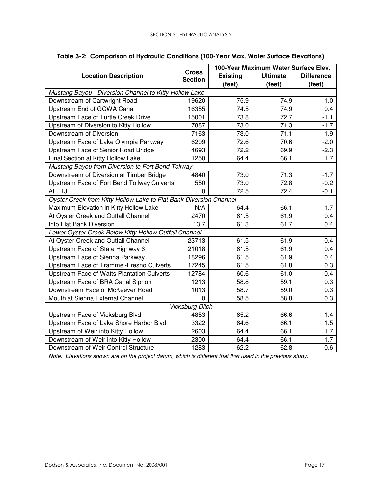|                                                                    |                                | 100-Year Maximum Water Surface Elev. |                 |                   |  |  |
|--------------------------------------------------------------------|--------------------------------|--------------------------------------|-----------------|-------------------|--|--|
| <b>Location Description</b>                                        | <b>Cross</b><br><b>Section</b> | <b>Existing</b>                      | <b>Ultimate</b> | <b>Difference</b> |  |  |
|                                                                    |                                | (feet)                               | (feet)          | (feet)            |  |  |
| Mustang Bayou - Diversion Channel to Kitty Hollow Lake             |                                |                                      |                 |                   |  |  |
| Downstream of Cartwright Road                                      | 19620                          | 75.9                                 | 74.9            | $-1.0$            |  |  |
| Upstream End of GCWA Canal                                         | 16355                          | 74.5                                 | 74.9            | 0.4               |  |  |
| Upstream Face of Turtle Creek Drive                                | 15001                          | 73.8                                 | 72.7            | $-1.1$            |  |  |
| Upstream of Diversion to Kitty Hollow                              | 7887                           | 73.0                                 | 71.3            | $-1.7$            |  |  |
| Downstream of Diversion                                            | 7163                           | 73.0                                 | 71.1            | $-1.9$            |  |  |
| Upstream Face of Lake Olympia Parkway                              | 6209                           | 72.6                                 | 70.6            | $-2.0$            |  |  |
| Upstream Face of Senior Road Bridge                                | 4693                           | 72.2                                 | 69.9            | $-2.3$            |  |  |
| Final Section at Kitty Hollow Lake                                 | 1250                           | 64.4                                 | 66.1            | 1.7               |  |  |
| Mustang Bayou from Diversion to Fort Bend Tollway                  |                                |                                      |                 |                   |  |  |
| Downstream of Diversion at Timber Bridge                           | 4840                           | 73.0                                 | 71.3            | $-1.7$            |  |  |
| Upstream Face of Fort Bend Tollway Culverts                        | 550                            | 73.0                                 | 72.8            | $-0.2$            |  |  |
| At ETJ                                                             | 0                              | 72.5                                 | 72.4            | $-0.1$            |  |  |
| Oyster Creek from Kitty Hollow Lake to Flat Bank Diversion Channel |                                |                                      |                 |                   |  |  |
| Maximum Elevation in Kitty Hollow Lake                             | N/A                            | 64.4                                 | 66.1            | 1.7               |  |  |
| At Oyster Creek and Outfall Channel                                | 2470                           | 61.5                                 | 61.9            | 0.4               |  |  |
| Into Flat Bank Diversion                                           | 13.7                           | 61.3                                 | 61.7            | 0.4               |  |  |
| Lower Oyster Creek Below Kitty Hollow Outfall Channel              |                                |                                      |                 |                   |  |  |
| At Oyster Creek and Outfall Channel                                | 23713                          | 61.5                                 | 61.9            | 0.4               |  |  |
| Upstream Face of State Highway 6                                   | 21018                          | 61.5                                 | 61.9            | 0.4               |  |  |
| Upstream Face of Sienna Parkway                                    | 18296                          | 61.5                                 | 61.9            | 0.4               |  |  |
| Upstream Face of Trammel-Fresno Culverts                           | 17245                          | 61.5                                 | 61.8            | 0.3               |  |  |
| Upstream Face of Watts Plantation Culverts                         | 12784                          | 60.6                                 | 61.0            | 0.4               |  |  |
| Upstream Face of BRA Canal Siphon                                  | 1213                           | 58.8                                 | 59.1            | 0.3               |  |  |
| Downstream Face of McKeever Road                                   | 1013                           | 58.7                                 | 59.0            | 0.3               |  |  |
| Mouth at Sienna External Channel                                   | $\mathbf{0}$                   | 58.5                                 | 58.8            | 0.3               |  |  |
|                                                                    | <b>Vicksburg Ditch</b>         |                                      |                 |                   |  |  |
| Upstream Face of Vicksburg Blvd                                    | 4853                           | 65.2                                 | 66.6            | 1.4               |  |  |
| Upstream Face of Lake Shore Harbor Blvd                            | 3322                           | 64.6                                 | 66.1            | 1.5               |  |  |
| Upstream of Weir into Kitty Hollow                                 | 2603                           | 64.4                                 | 66.1            | 1.7               |  |  |
| Downstream of Weir into Kitty Hollow                               | 2300                           | 64.4                                 | 66.1            | 1.7               |  |  |
| Downstream of Weir Control Structure                               | 1283                           | 62.2                                 | 62.8            | 0.6               |  |  |

#### Table 3-2: Comparison of Hydraulic Conditions (100-Year Max. Water Surface Elevations)

Note: Elevations shown are on the project datum, which is different that that used in the previous study.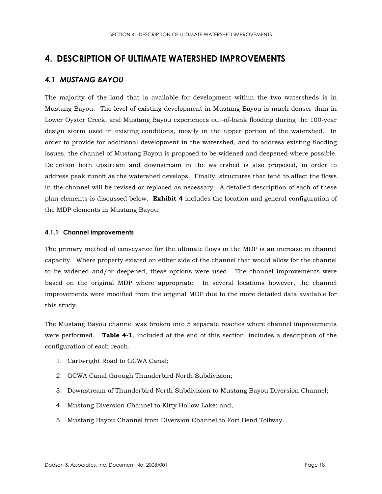## 4. DESCRIPTION OF ULTIMATE WATERSHED IMPROVEMENTS

### **4.1 MUSTANG BAYOU**

The majority of the land that is available for development within the two watersheds is in Mustang Bayou. The level of existing development in Mustang Bayou is much denser than in Lower Oyster Creek, and Mustang Bayou experiences out-of-bank flooding during the 100-year design storm used in existing conditions, mostly in the upper portion of the watershed. In order to provide for additional development in the watershed, and to address existing flooding issues, the channel of Mustang Bayou is proposed to be widened and deepened where possible. Detention both upstream and downstream in the watershed is also proposed, in order to address peak runoff as the watershed develops. Finally, structures that tend to affect the flows in the channel will be revised or replaced as necessary. A detailed description of each of these plan elements is discussed below. Exhibit 4 includes the location and general configuration of the MDP elements in Mustang Bayou.

#### 4.1.1 Channel Improvements

The primary method of conveyance for the ultimate flows in the MDP is an increase in channel capacity. Where property existed on either side of the channel that would allow for the channel to be widened and/or deepened, these options were used. The channel improvements were based on the original MDP where appropriate. In several locations however, the channel improvements were modified from the original MDP due to the more detailed data available for this study.

The Mustang Bayou channel was broken into 5 separate reaches where channel improvements were performed. Table 4-1, included at the end of this section, includes a description of the configuration of each reach.

- 1. Cartwright Road to GCWA Canal;
- 2. GCWA Canal through Thunderbird North Subdivision;
- 3. Downstream of Thunderbird North Subdivision to Mustang Bayou Diversion Channel;
- 4. Mustang Diversion Channel to Kitty Hollow Lake; and,
- 5. Mustang Bayou Channel from Diversion Channel to Fort Bend Tollway.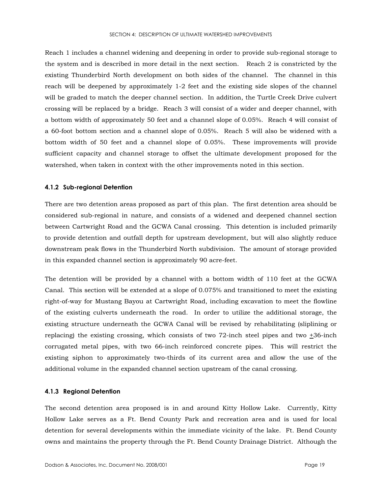Reach 1 includes a channel widening and deepening in order to provide sub-regional storage to the system and is described in more detail in the next section. Reach 2 is constricted by the existing Thunderbird North development on both sides of the channel. The channel in this reach will be deepened by approximately 1-2 feet and the existing side slopes of the channel will be graded to match the deeper channel section. In addition, the Turtle Creek Drive culvert crossing will be replaced by a bridge. Reach 3 will consist of a wider and deeper channel, with a bottom width of approximately 50 feet and a channel slope of 0.05%. Reach 4 will consist of a 60-foot bottom section and a channel slope of 0.05%. Reach 5 will also be widened with a bottom width of 50 feet and a channel slope of 0.05%. These improvements will provide sufficient capacity and channel storage to offset the ultimate development proposed for the watershed, when taken in context with the other improvements noted in this section.

#### 4.1.2 Sub-regional Detention

There are two detention areas proposed as part of this plan. The first detention area should be considered sub-regional in nature, and consists of a widened and deepened channel section between Cartwright Road and the GCWA Canal crossing. This detention is included primarily to provide detention and outfall depth for upstream development, but will also slightly reduce downstream peak flows in the Thunderbird North subdivision. The amount of storage provided in this expanded channel section is approximately 90 acre-feet.

The detention will be provided by a channel with a bottom width of 110 feet at the GCWA Canal. This section will be extended at a slope of 0.075% and transitioned to meet the existing right-of-way for Mustang Bayou at Cartwright Road, including excavation to meet the flowline of the existing culverts underneath the road. In order to utilize the additional storage, the existing structure underneath the GCWA Canal will be revised by rehabilitating (sliplining or replacing) the existing crossing, which consists of two 72-inch steel pipes and two  $\pm 36$ -inch corrugated metal pipes, with two 66-inch reinforced concrete pipes. This will restrict the existing siphon to approximately two-thirds of its current area and allow the use of the additional volume in the expanded channel section upstream of the canal crossing.

#### 4.1.3 Regional Detention

The second detention area proposed is in and around Kitty Hollow Lake. Currently, Kitty Hollow Lake serves as a Ft. Bend County Park and recreation area and is used for local detention for several developments within the immediate vicinity of the lake. Ft. Bend County owns and maintains the property through the Ft. Bend County Drainage District. Although the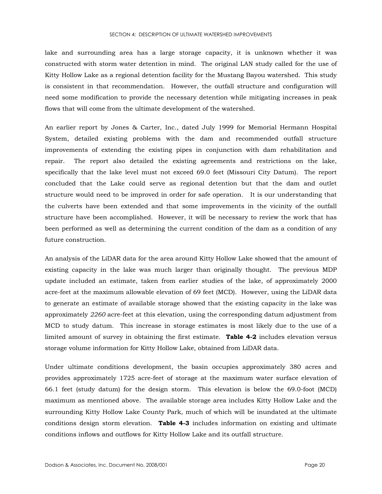lake and surrounding area has a large storage capacity, it is unknown whether it was constructed with storm water detention in mind. The original LAN study called for the use of Kitty Hollow Lake as a regional detention facility for the Mustang Bayou watershed. This study is consistent in that recommendation. However, the outfall structure and configuration will need some modification to provide the necessary detention while mitigating increases in peak flows that will come from the ultimate development of the watershed.

An earlier report by Jones & Carter, Inc., dated July 1999 for Memorial Hermann Hospital System, detailed existing problems with the dam and recommended outfall structure improvements of extending the existing pipes in conjunction with dam rehabilitation and repair. The report also detailed the existing agreements and restrictions on the lake, specifically that the lake level must not exceed 69.0 feet (Missouri City Datum). The report concluded that the Lake could serve as regional detention but that the dam and outlet structure would need to be improved in order for safe operation. It is our understanding that the culverts have been extended and that some improvements in the vicinity of the outfall structure have been accomplished. However, it will be necessary to review the work that has been performed as well as determining the current condition of the dam as a condition of any future construction.

An analysis of the LiDAR data for the area around Kitty Hollow Lake showed that the amount of existing capacity in the lake was much larger than originally thought. The previous MDP update included an estimate, taken from earlier studies of the lake, of approximately 2000 acre-feet at the maximum allowable elevation of 69 feet (MCD). However, using the LiDAR data to generate an estimate of available storage showed that the existing capacity in the lake was approximately 2260 acre-feet at this elevation, using the corresponding datum adjustment from MCD to study datum. This increase in storage estimates is most likely due to the use of a limited amount of survey in obtaining the first estimate. **Table 4-2** includes elevation versus storage volume information for Kitty Hollow Lake, obtained from LiDAR data.

Under ultimate conditions development, the basin occupies approximately 380 acres and provides approximately 1725 acre-feet of storage at the maximum water surface elevation of 66.1 feet (study datum) for the design storm. This elevation is below the 69.0-foot (MCD) maximum as mentioned above. The available storage area includes Kitty Hollow Lake and the surrounding Kitty Hollow Lake County Park, much of which will be inundated at the ultimate conditions design storm elevation. Table 4-3 includes information on existing and ultimate conditions inflows and outflows for Kitty Hollow Lake and its outfall structure.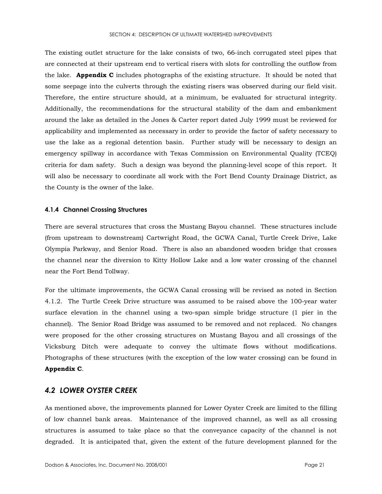The existing outlet structure for the lake consists of two, 66-inch corrugated steel pipes that are connected at their upstream end to vertical risers with slots for controlling the outflow from the lake. Appendix C includes photographs of the existing structure. It should be noted that some seepage into the culverts through the existing risers was observed during our field visit. Therefore, the entire structure should, at a minimum, be evaluated for structural integrity. Additionally, the recommendations for the structural stability of the dam and embankment around the lake as detailed in the Jones & Carter report dated July 1999 must be reviewed for applicability and implemented as necessary in order to provide the factor of safety necessary to use the lake as a regional detention basin. Further study will be necessary to design an emergency spillway in accordance with Texas Commission on Environmental Quality (TCEQ) criteria for dam safety. Such a design was beyond the planning-level scope of this report. It will also be necessary to coordinate all work with the Fort Bend County Drainage District, as the County is the owner of the lake.

#### 4.1.4 Channel Crossing Structures

There are several structures that cross the Mustang Bayou channel. These structures include (from upstream to downstream) Cartwright Road, the GCWA Canal, Turtle Creek Drive, Lake Olympia Parkway, and Senior Road. There is also an abandoned wooden bridge that crosses the channel near the diversion to Kitty Hollow Lake and a low water crossing of the channel near the Fort Bend Tollway.

For the ultimate improvements, the GCWA Canal crossing will be revised as noted in Section 4.1.2. The Turtle Creek Drive structure was assumed to be raised above the 100-year water surface elevation in the channel using a two-span simple bridge structure (1 pier in the channel). The Senior Road Bridge was assumed to be removed and not replaced. No changes were proposed for the other crossing structures on Mustang Bayou and all crossings of the Vicksburg Ditch were adequate to convey the ultimate flows without modifications. Photographs of these structures (with the exception of the low water crossing) can be found in Appendix C.

#### **4.2 LOWER OYSTER CREEK**

As mentioned above, the improvements planned for Lower Oyster Creek are limited to the filling of low channel bank areas. Maintenance of the improved channel, as well as all crossing structures is assumed to take place so that the conveyance capacity of the channel is not degraded. It is anticipated that, given the extent of the future development planned for the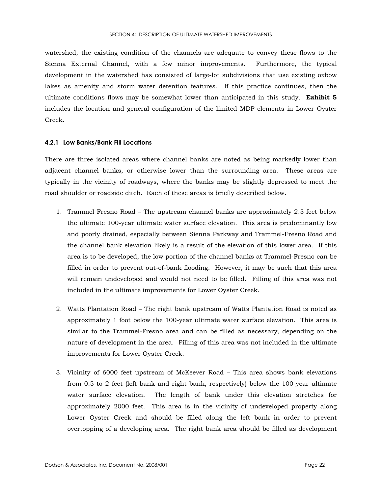watershed, the existing condition of the channels are adequate to convey these flows to the Sienna External Channel, with a few minor improvements. Furthermore, the typical development in the watershed has consisted of large-lot subdivisions that use existing oxbow lakes as amenity and storm water detention features. If this practice continues, then the ultimate conditions flows may be somewhat lower than anticipated in this study. **Exhibit 5** includes the location and general configuration of the limited MDP elements in Lower Oyster Creek.

#### 4.2.1 Low Banks/Bank Fill Locations

There are three isolated areas where channel banks are noted as being markedly lower than adjacent channel banks, or otherwise lower than the surrounding area. These areas are typically in the vicinity of roadways, where the banks may be slightly depressed to meet the road shoulder or roadside ditch. Each of these areas is briefly described below.

- 1. Trammel Fresno Road The upstream channel banks are approximately 2.5 feet below the ultimate 100-year ultimate water surface elevation. This area is predominantly low and poorly drained, especially between Sienna Parkway and Trammel-Fresno Road and the channel bank elevation likely is a result of the elevation of this lower area. If this area is to be developed, the low portion of the channel banks at Trammel-Fresno can be filled in order to prevent out-of-bank flooding. However, it may be such that this area will remain undeveloped and would not need to be filled. Filling of this area was not included in the ultimate improvements for Lower Oyster Creek.
- 2. Watts Plantation Road The right bank upstream of Watts Plantation Road is noted as approximately 1 foot below the 100-year ultimate water surface elevation. This area is similar to the Trammel-Fresno area and can be filled as necessary, depending on the nature of development in the area. Filling of this area was not included in the ultimate improvements for Lower Oyster Creek.
- 3. Vicinity of 6000 feet upstream of McKeever Road This area shows bank elevations from 0.5 to 2 feet (left bank and right bank, respectively) below the 100-year ultimate water surface elevation. The length of bank under this elevation stretches for approximately 2000 feet. This area is in the vicinity of undeveloped property along Lower Oyster Creek and should be filled along the left bank in order to prevent overtopping of a developing area. The right bank area should be filled as development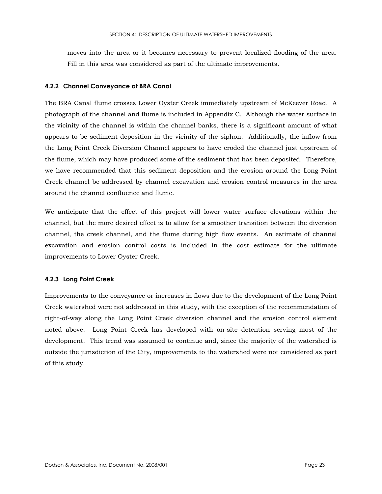moves into the area or it becomes necessary to prevent localized flooding of the area. Fill in this area was considered as part of the ultimate improvements.

#### 4.2.2 Channel Conveyance at BRA Canal

The BRA Canal flume crosses Lower Oyster Creek immediately upstream of McKeever Road. A photograph of the channel and flume is included in Appendix C. Although the water surface in the vicinity of the channel is within the channel banks, there is a significant amount of what appears to be sediment deposition in the vicinity of the siphon. Additionally, the inflow from the Long Point Creek Diversion Channel appears to have eroded the channel just upstream of the flume, which may have produced some of the sediment that has been deposited. Therefore, we have recommended that this sediment deposition and the erosion around the Long Point Creek channel be addressed by channel excavation and erosion control measures in the area around the channel confluence and flume.

We anticipate that the effect of this project will lower water surface elevations within the channel, but the more desired effect is to allow for a smoother transition between the diversion channel, the creek channel, and the flume during high flow events. An estimate of channel excavation and erosion control costs is included in the cost estimate for the ultimate improvements to Lower Oyster Creek.

#### 4.2.3 Long Point Creek

Improvements to the conveyance or increases in flows due to the development of the Long Point Creek watershed were not addressed in this study, with the exception of the recommendation of right-of-way along the Long Point Creek diversion channel and the erosion control element noted above. Long Point Creek has developed with on-site detention serving most of the development. This trend was assumed to continue and, since the majority of the watershed is outside the jurisdiction of the City, improvements to the watershed were not considered as part of this study.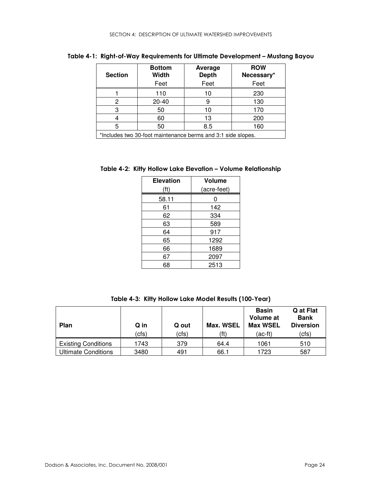| <b>Section</b> | <b>Bottom</b><br><b>Width</b><br>Feet | Average<br><b>Depth</b><br>Feet | <b>ROW</b><br>Necessary*<br>Feet |
|----------------|---------------------------------------|---------------------------------|----------------------------------|
|                | 110                                   | 10                              | 230                              |
| 2              | 20-40                                 | 9                               | 130                              |
| 3              | 50                                    | 10                              | 170                              |
|                | 60                                    | 13                              | 200                              |
| 5              | 50                                    | 8.5                             | 160                              |

Table 4-1: Right-of-Way Requirements for Ultimate Development - Mustang Bayou

\*Includes two 30-foot maintenance berms and 3:1 side slopes.

| Table 4-2: Kitty Hollow Lake Elevation - Volume Relationship |
|--------------------------------------------------------------|
|--------------------------------------------------------------|

| <b>Elevation</b> | <b>Volume</b> |
|------------------|---------------|
| (ft)             | (acre-feet)   |
| 58.11            | 0             |
| 61               | 142           |
| 62               | 334           |
| 63               | 589           |
| 64               | 917           |
| 65               | 1292          |
| 66               | 1689          |
| 67               | 2097          |
| 68               | 2513          |

Table 4-3: Kitty Hollow Lake Model Results (100-Year)

| <b>Plan</b>                | Q in | Q out | Max. WSEL | <b>Basin</b><br>Volume at<br><b>Max WSEL</b> | Q at Flat<br><b>Bank</b><br><b>Diversion</b> |
|----------------------------|------|-------|-----------|----------------------------------------------|----------------------------------------------|
|                            | cfs) | (cfs) | (ft)      | $(ac-ft)$                                    | (cfs)                                        |
| <b>Existing Conditions</b> | 1743 | 379   | 64.4      | 1061                                         | 510                                          |
| <b>Ultimate Conditions</b> | 3480 | 491   | 66.1      | 1723                                         | 587                                          |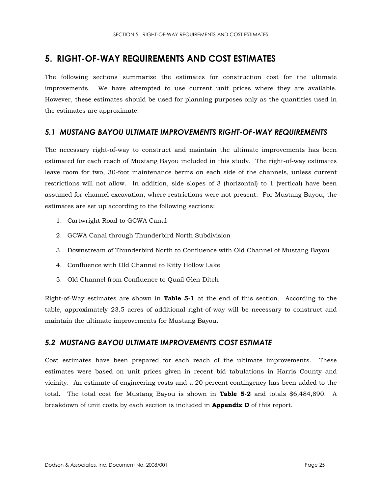## 5. RIGHT-OF-WAY REQUIREMENTS AND COST ESTIMATES

The following sections summarize the estimates for construction cost for the ultimate improvements. We have attempted to use current unit prices where they are available. However, these estimates should be used for planning purposes only as the quantities used in the estimates are approximate.

## 5.1 MUSTANG BAYOU ULTIMATE IMPROVEMENTS RIGHT-OF-WAY REQUIREMENTS

The necessary right-of-way to construct and maintain the ultimate improvements has been estimated for each reach of Mustang Bayou included in this study. The right-of-way estimates leave room for two, 30-foot maintenance berms on each side of the channels, unless current restrictions will not allow. In addition, side slopes of 3 (horizontal) to 1 (vertical) have been assumed for channel excavation, where restrictions were not present. For Mustang Bayou, the estimates are set up according to the following sections:

- 1. Cartwright Road to GCWA Canal
- 2. GCWA Canal through Thunderbird North Subdivision
- 3. Downstream of Thunderbird North to Confluence with Old Channel of Mustang Bayou
- 4. Confluence with Old Channel to Kitty Hollow Lake
- 5. Old Channel from Confluence to Quail Glen Ditch

Right-of-Way estimates are shown in Table 5-1 at the end of this section. According to the table, approximately 23.5 acres of additional right-of-way will be necessary to construct and maintain the ultimate improvements for Mustang Bayou.

## 5.2 MUSTANG BAYOU ULTIMATE IMPROVEMENTS COST ESTIMATE

Cost estimates have been prepared for each reach of the ultimate improvements. These estimates were based on unit prices given in recent bid tabulations in Harris County and vicinity. An estimate of engineering costs and a 20 percent contingency has been added to the total. The total cost for Mustang Bayou is shown in Table 5-2 and totals \$6,484,890. A breakdown of unit costs by each section is included in **Appendix D** of this report.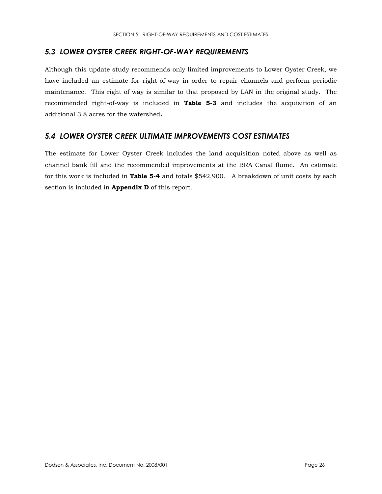## 5.3 LOWER OYSTER CREEK RIGHT-OF-WAY REQUIREMENTS

Although this update study recommends only limited improvements to Lower Oyster Creek, we have included an estimate for right-of-way in order to repair channels and perform periodic maintenance. This right of way is similar to that proposed by LAN in the original study. The recommended right-of-way is included in Table 5-3 and includes the acquisition of an additional 3.8 acres for the watershed.

## **5.4 LOWER OYSTER CREEK ULTIMATE IMPROVEMENTS COST ESTIMATES**

The estimate for Lower Oyster Creek includes the land acquisition noted above as well as channel bank fill and the recommended improvements at the BRA Canal flume. An estimate for this work is included in **Table 5-4** and totals \$542,900. A breakdown of unit costs by each section is included in **Appendix D** of this report.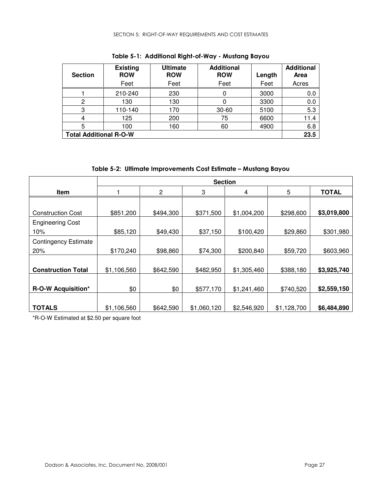| <b>Section</b>                | <b>Existing</b><br><b>ROW</b><br>Feet | <b>Ultimate</b><br><b>ROW</b><br>Feet | <b>Additional</b><br><b>ROW</b><br>Feet | Length<br>Feet | <b>Additional</b><br>Area<br>Acres |
|-------------------------------|---------------------------------------|---------------------------------------|-----------------------------------------|----------------|------------------------------------|
|                               | 210-240                               | 230                                   |                                         | 3000           | 0.0                                |
| 2                             | 130                                   | 130                                   |                                         | 3300           | 0.0                                |
| 3                             | 110-140                               | 170                                   | $30 - 60$                               | 5100           | 5.3                                |
| 4                             | 125                                   | 200                                   | 75                                      | 6600           | 11.4                               |
| 5                             | 100                                   | 160                                   | 60                                      | 4900           | 6.8                                |
| <b>Total Additional R-O-W</b> |                                       |                                       |                                         |                | 23.5                               |

Table 5-1: Additional Right-of-Way - Mustang Bayou

|  | Table 5-2: Ultimate Improvements Cost Estimate - Mustang Bayou |  |  |
|--|----------------------------------------------------------------|--|--|
|--|----------------------------------------------------------------|--|--|

|                             | <b>Section</b> |                |             |             |             |              |
|-----------------------------|----------------|----------------|-------------|-------------|-------------|--------------|
| Item                        |                | $\overline{c}$ | 3           | 4           | 5           | <b>TOTAL</b> |
|                             |                |                |             |             |             |              |
| <b>Construction Cost</b>    | \$851,200      | \$494,300      | \$371,500   | \$1,004,200 | \$298,600   | \$3,019,800  |
| <b>Engineering Cost</b>     |                |                |             |             |             |              |
| 10%                         | \$85,120       | \$49,430       | \$37,150    | \$100,420   | \$29,860    | \$301,980    |
| <b>Contingency Estimate</b> |                |                |             |             |             |              |
| 20%                         | \$170,240      | \$98,860       | \$74,300    | \$200,840   | \$59,720    | \$603,960    |
|                             |                |                |             |             |             |              |
| <b>Construction Total</b>   | \$1,106,560    | \$642,590      | \$482,950   | \$1,305,460 | \$388,180   | \$3,925,740  |
|                             |                |                |             |             |             |              |
| <b>R-O-W Acquisition*</b>   | \$0            | \$0            | \$577,170   | \$1,241,460 | \$740,520   | \$2,559,150  |
|                             |                |                |             |             |             |              |
| <b>TOTALS</b>               | \$1,106,560    | \$642,590      | \$1,060,120 | \$2,546,920 | \$1,128,700 | \$6,484,890  |

\*R-O-W Estimated at \$2.50 per square foot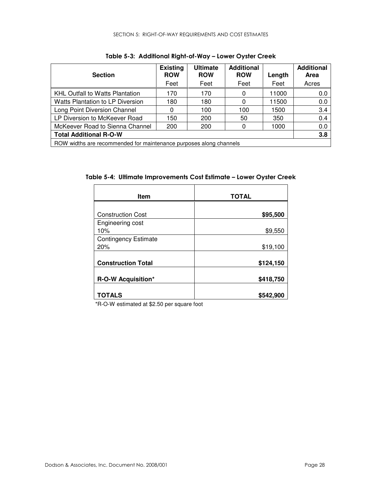| <b>Section</b>                                                     | <b>Existing</b><br><b>ROW</b><br>Feet | <b>Ultimate</b><br><b>ROW</b><br>Feet | <b>Additional</b><br><b>ROW</b><br>Feet | Length<br>Feet | <b>Additional</b><br>Area<br>Acres |
|--------------------------------------------------------------------|---------------------------------------|---------------------------------------|-----------------------------------------|----------------|------------------------------------|
| <b>KHL Outfall to Watts Plantation</b>                             | 170                                   | 170                                   | 0                                       | 11000          | 0.0                                |
| Watts Plantation to LP Diversion                                   | 180                                   | 180                                   | 0                                       | 11500          | 0.0                                |
| Long Point Diversion Channel                                       | 0                                     | 100                                   | 100                                     | 1500           | 3.4                                |
| LP Diversion to McKeever Road                                      | 150                                   | 200                                   | 50                                      | 350            | 0.4                                |
| McKeever Road to Sienna Channel                                    | 200                                   | 200                                   |                                         | 1000           | 0.0                                |
| <b>Total Additional R-O-W</b>                                      |                                       |                                       |                                         |                | 3.8                                |
| ROW widths are recommended for maintenance purposes along channels |                                       |                                       |                                         |                |                                    |

Table 5-3: Additional Right-of-Way – Lower Oyster Creek

Table 5-4: Ultimate Improvements Cost Estimate – Lower Oyster Creek

| <b>Item</b>                 | <b>TOTAL</b> |
|-----------------------------|--------------|
|                             |              |
| <b>Construction Cost</b>    | \$95,500     |
| Engineering cost            |              |
| 10%                         | \$9,550      |
| <b>Contingency Estimate</b> |              |
| 20%                         | \$19,100     |
|                             |              |
| <b>Construction Total</b>   | \$124,150    |
|                             |              |
| <b>R-O-W Acquisition*</b>   | \$418,750    |
|                             |              |
| TOTALS                      | \$542,900    |

\*R-O-W estimated at \$2.50 per square foot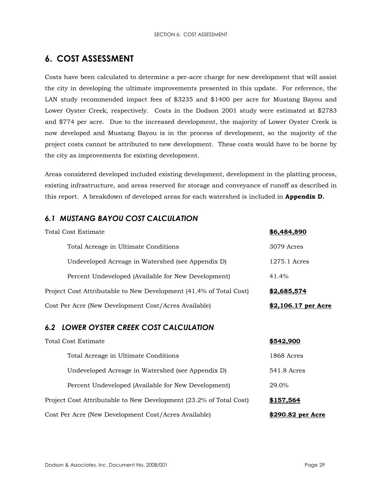## 6. COST ASSESSMENT

Costs have been calculated to determine a per-acre charge for new development that will assist the city in developing the ultimate improvements presented in this update. For reference, the LAN study recommended impact fees of \$3235 and \$1400 per acre for Mustang Bayou and Lower Oyster Creek, respectively. Costs in the Dodson 2001 study were estimated at \$2783 and \$774 per acre. Due to the increased development, the majority of Lower Oyster Creek is now developed and Mustang Bayou is in the process of development, so the majority of the project costs cannot be attributed to new development. These costs would have to be borne by the city as improvements for existing development.

Areas considered developed included existing development, development in the platting process, existing infrastructure, and areas reserved for storage and conveyance of runoff as described in this report. A breakdown of developed areas for each watershed is included in Appendix D.

## **6.1 MUSTANG BAYOU COST CALCULATION**

| Total Cost Estimate                                                | \$6,484,890         |
|--------------------------------------------------------------------|---------------------|
| Total Acreage in Ultimate Conditions                               | 3079 Acres          |
| Undeveloped Acreage in Watershed (see Appendix D)                  | 1275.1 Acres        |
| Percent Undeveloped (Available for New Development)                | 41.4%               |
| Project Cost Attributable to New Development (41.4% of Total Cost) | \$2,685,574         |
| Cost Per Acre (New Development Cost/Acres Available)               | \$2,106.17 per Acre |

## **6.2 LOWER OYSTER CREEK COST CALCULATION**

| Total Cost Estimate                                                | \$542,900         |
|--------------------------------------------------------------------|-------------------|
| Total Acreage in Ultimate Conditions                               | 1868 Acres        |
| Undeveloped Acreage in Watershed (see Appendix D)                  | 541.8 Acres       |
| Percent Undeveloped (Available for New Development)                | 29.0%             |
| Project Cost Attributable to New Development (23.2% of Total Cost) | \$157,564         |
| Cost Per Acre (New Development Cost/Acres Available)               | \$290.82 per Acre |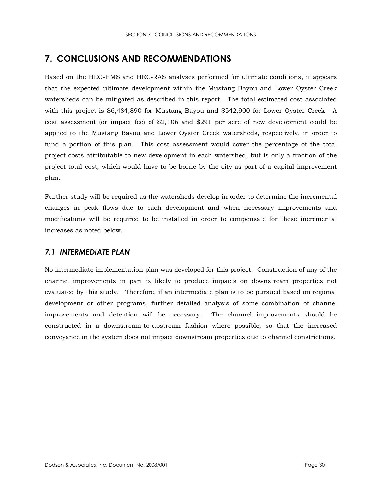## 7. CONCLUSIONS AND RECOMMENDATIONS

Based on the HEC-HMS and HEC-RAS analyses performed for ultimate conditions, it appears that the expected ultimate development within the Mustang Bayou and Lower Oyster Creek watersheds can be mitigated as described in this report. The total estimated cost associated with this project is \$6,484,890 for Mustang Bayou and \$542,900 for Lower Oyster Creek. A cost assessment (or impact fee) of \$2,106 and \$291 per acre of new development could be applied to the Mustang Bayou and Lower Oyster Creek watersheds, respectively, in order to fund a portion of this plan. This cost assessment would cover the percentage of the total project costs attributable to new development in each watershed, but is only a fraction of the project total cost, which would have to be borne by the city as part of a capital improvement plan.

Further study will be required as the watersheds develop in order to determine the incremental changes in peak flows due to each development and when necessary improvements and modifications will be required to be installed in order to compensate for these incremental increases as noted below.

## 7.1 INTERMEDIATE PLAN

No intermediate implementation plan was developed for this project. Construction of any of the channel improvements in part is likely to produce impacts on downstream properties not evaluated by this study. Therefore, if an intermediate plan is to be pursued based on regional development or other programs, further detailed analysis of some combination of channel improvements and detention will be necessary. The channel improvements should be constructed in a downstream-to-upstream fashion where possible, so that the increased conveyance in the system does not impact downstream properties due to channel constrictions.